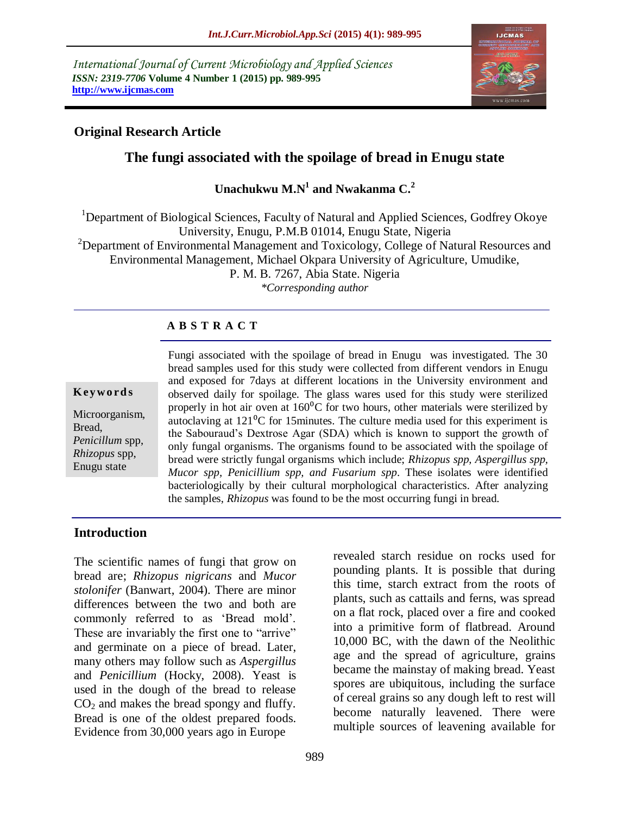*International Journal of Current Microbiology and Applied Sciences ISSN: 2319-7706* **Volume 4 Number 1 (2015) pp. 989-995 http://www.ijcmas.com** 



## **Original Research Article**

# **The fungi associated with the spoilage of bread in Enugu state**

**Unachukwu M.N<sup>1</sup> and Nwakanma C.<sup>2</sup>**

<sup>1</sup>Department of Biological Sciences, Faculty of Natural and Applied Sciences, Godfrey Okoye University, Enugu, P.M.B 01014, Enugu State, Nigeria <sup>2</sup>Department of Environmental Management and Toxicology, College of Natural Resources and Environmental Management, Michael Okpara University of Agriculture, Umudike, P. M. B. 7267, Abia State. Nigeria *\*Corresponding author* 

#### **A B S T R A C T**

#### **K ey w o rd s**

Microorganism, Bread, *Penicillum* spp, *Rhizopus* spp, Enugu state

Fungi associated with the spoilage of bread in Enugu was investigated. The 30 bread samples used for this study were collected from different vendors in Enugu and exposed for 7days at different locations in the University environment and observed daily for spoilage. The glass wares used for this study were sterilized properly in hot air oven at  $160^{\circ}$ C for two hours, other materials were sterilized by autoclaving at  $121\textsuperscript{0}C$  for 15 minutes. The culture media used for this experiment is the Sabouraud"s Dextrose Agar (SDA) which is known to support the growth of only fungal organisms. The organisms found to be associated with the spoilage of bread were strictly fungal organisms which include; *Rhizopus spp, Aspergillus spp, Mucor spp, Penicillium spp, and Fusarium spp*. These isolates were identified bacteriologically by their cultural morphological characteristics. After analyzing the samples, *Rhizopus* was found to be the most occurring fungi in bread.

#### **Introduction**

The scientific names of fungi that grow on bread are; *Rhizopus nigricans* and *Mucor stolonifer* (Banwart, 2004). There are minor differences between the two and both are commonly referred to as "Bread mold". These are invariably the first one to "arrive" and germinate on a piece of bread. Later, many others may follow such as *Aspergillus* and *Penicillium* (Hocky, 2008). Yeast is used in the dough of the bread to release  $CO<sub>2</sub>$  and makes the bread spongy and fluffy. Bread is one of the oldest prepared foods. Evidence from 30,000 years ago in Europe

revealed starch residue on rocks used for pounding plants. It is possible that during this time, starch extract from the roots of plants, such as cattails and ferns, was spread on a flat rock, placed over a fire and cooked into a primitive form of flatbread. Around 10,000 BC, with the dawn of the Neolithic age and the spread of agriculture, grains became the mainstay of making bread. Yeast spores are ubiquitous, including the surface of cereal grains so any dough left to rest will become naturally leavened. There were multiple sources of leavening available for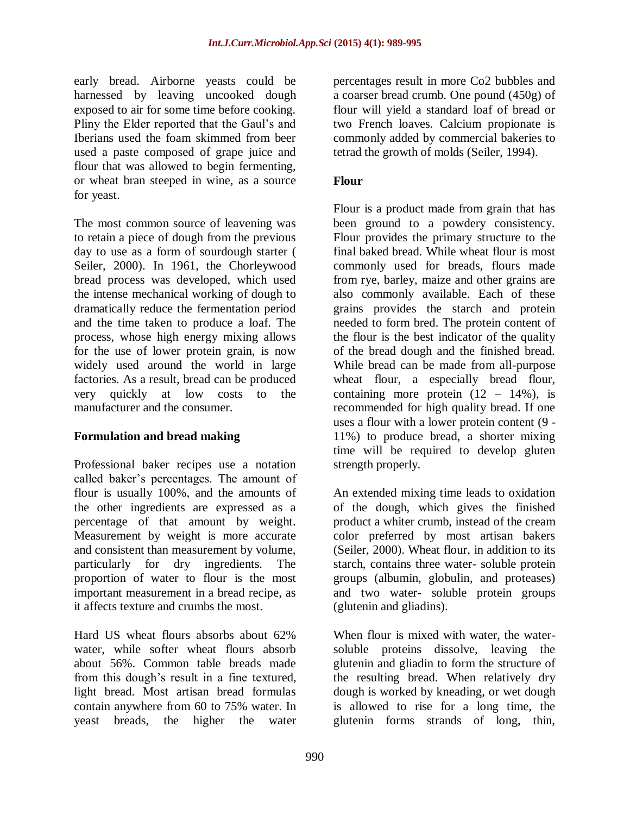early bread. Airborne yeasts could be harnessed by leaving uncooked dough exposed to air for some time before cooking. Pliny the Elder reported that the Gaul"s and Iberians used the foam skimmed from beer used a paste composed of grape juice and flour that was allowed to begin fermenting, or wheat bran steeped in wine, as a source for yeast.

The most common source of leavening was to retain a piece of dough from the previous day to use as a form of sourdough starter ( Seiler, 2000). In 1961, the Chorleywood bread process was developed, which used the intense mechanical working of dough to dramatically reduce the fermentation period and the time taken to produce a loaf. The process, whose high energy mixing allows for the use of lower protein grain, is now widely used around the world in large factories. As a result, bread can be produced very quickly at low costs to the manufacturer and the consumer.

## **Formulation and bread making**

Professional baker recipes use a notation called baker"s percentages. The amount of flour is usually 100%, and the amounts of the other ingredients are expressed as a percentage of that amount by weight. Measurement by weight is more accurate and consistent than measurement by volume, particularly for dry ingredients. The proportion of water to flour is the most important measurement in a bread recipe, as it affects texture and crumbs the most.

Hard US wheat flours absorbs about 62% water, while softer wheat flours absorb about 56%. Common table breads made from this dough"s result in a fine textured, light bread. Most artisan bread formulas contain anywhere from 60 to 75% water. In yeast breads, the higher the water

percentages result in more Co2 bubbles and a coarser bread crumb. One pound (450g) of flour will yield a standard loaf of bread or two French loaves. Calcium propionate is commonly added by commercial bakeries to tetrad the growth of molds (Seiler, 1994).

## **Flour**

Flour is a product made from grain that has been ground to a powdery consistency. Flour provides the primary structure to the final baked bread. While wheat flour is most commonly used for breads, flours made from rye, barley, maize and other grains are also commonly available. Each of these grains provides the starch and protein needed to form bred. The protein content of the flour is the best indicator of the quality of the bread dough and the finished bread. While bread can be made from all-purpose wheat flour, a especially bread flour, containing more protein  $(12 - 14\%)$ , is recommended for high quality bread. If one uses a flour with a lower protein content (9 - 11%) to produce bread, a shorter mixing time will be required to develop gluten strength properly.

An extended mixing time leads to oxidation of the dough, which gives the finished product a whiter crumb, instead of the cream color preferred by most artisan bakers (Seiler, 2000). Wheat flour, in addition to its starch, contains three water- soluble protein groups (albumin, globulin, and proteases) and two water- soluble protein groups (glutenin and gliadins).

When flour is mixed with water, the watersoluble proteins dissolve, leaving the glutenin and gliadin to form the structure of the resulting bread. When relatively dry dough is worked by kneading, or wet dough is allowed to rise for a long time, the glutenin forms strands of long, thin,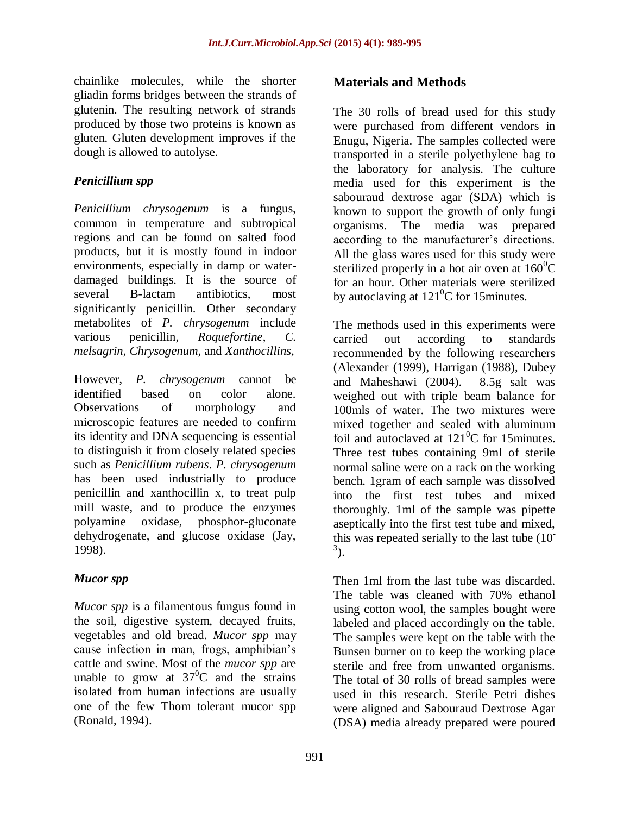chainlike molecules, while the shorter gliadin forms bridges between the strands of glutenin. The resulting network of strands produced by those two proteins is known as gluten. Gluten development improves if the dough is allowed to autolyse.

## *Penicillium spp*

*Penicillium chrysogenum* is a fungus, common in temperature and subtropical regions and can be found on salted food products, but it is mostly found in indoor environments, especially in damp or waterdamaged buildings. It is the source of several B-lactam antibiotics, most significantly penicillin. Other secondary metabolites of *P. chrysogenum* include various penicillin, *Roquefortine*, *C. melsagrin*, *Chrysogenum,* and *Xanthocillins*,

However, *P. chrysogenum* cannot be identified based on color alone. Observations of morphology and microscopic features are needed to confirm its identity and DNA sequencing is essential to distinguish it from closely related species such as *Penicillium rubens*. *P. chrysogenum* has been used industrially to produce penicillin and xanthocillin x, to treat pulp mill waste, and to produce the enzymes polyamine oxidase, phosphor-gluconate dehydrogenate, and glucose oxidase (Jay, 1998).

## *Mucor spp*

*Mucor spp* is a filamentous fungus found in the soil, digestive system, decayed fruits, vegetables and old bread*. Mucor spp* may cause infection in man, frogs, amphibian"s cattle and swine. Most of the *mucor spp* are unable to grow at  $37^{\circ}$ C and the strains isolated from human infections are usually one of the few Thom tolerant mucor spp (Ronald, 1994).

## **Materials and Methods**

The 30 rolls of bread used for this study were purchased from different vendors in Enugu, Nigeria. The samples collected were transported in a sterile polyethylene bag to the laboratory for analysis. The culture media used for this experiment is the sabouraud dextrose agar (SDA) which is known to support the growth of only fungi organisms. The media was prepared according to the manufacturer's directions. All the glass wares used for this study were sterilized properly in a hot air oven at  $160^{\circ}$ C for an hour. Other materials were sterilized by autoclaving at  $121^{\circ}$ C for 15minutes.

The methods used in this experiments were carried out according to standards recommended by the following researchers (Alexander (1999), Harrigan (1988), Dubey and Maheshawi (2004). 8.5g salt was weighed out with triple beam balance for 100mls of water. The two mixtures were mixed together and sealed with aluminum foil and autoclaved at  $121^0C$  for 15minutes. Three test tubes containing 9ml of sterile normal saline were on a rack on the working bench. 1gram of each sample was dissolved into the first test tubes and mixed thoroughly. 1ml of the sample was pipette aseptically into the first test tube and mixed, this was repeated serially to the last tube (10-  $^{3}$ ).

Then 1ml from the last tube was discarded. The table was cleaned with 70% ethanol using cotton wool, the samples bought were labeled and placed accordingly on the table. The samples were kept on the table with the Bunsen burner on to keep the working place sterile and free from unwanted organisms. The total of 30 rolls of bread samples were used in this research. Sterile Petri dishes were aligned and Sabouraud Dextrose Agar (DSA) media already prepared were poured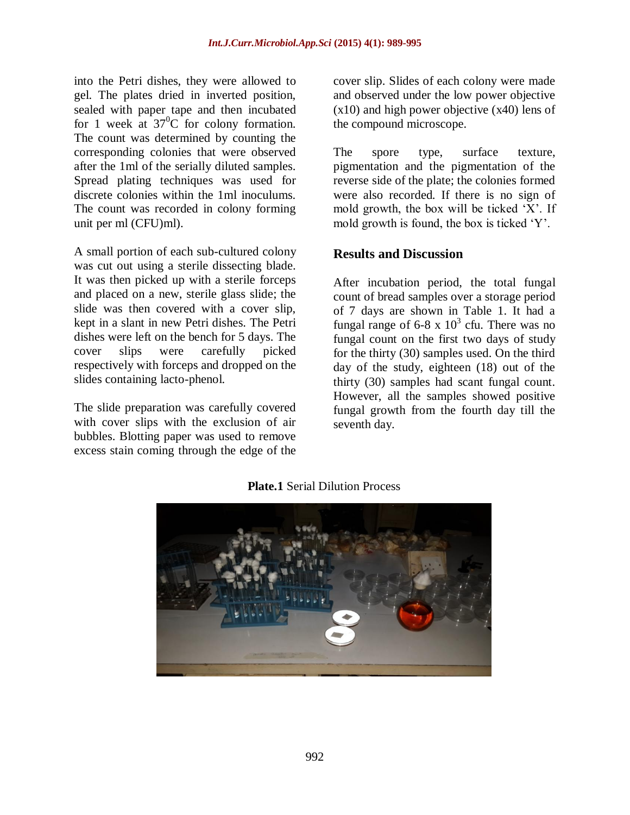into the Petri dishes, they were allowed to gel. The plates dried in inverted position, sealed with paper tape and then incubated for 1 week at  $37^{\circ}$ C for colony formation. The count was determined by counting the corresponding colonies that were observed after the 1ml of the serially diluted samples. Spread plating techniques was used for discrete colonies within the 1ml inoculums. The count was recorded in colony forming unit per ml (CFU)ml).

A small portion of each sub-cultured colony was cut out using a sterile dissecting blade. It was then picked up with a sterile forceps and placed on a new, sterile glass slide; the slide was then covered with a cover slip, kept in a slant in new Petri dishes. The Petri dishes were left on the bench for 5 days. The cover slips were carefully picked respectively with forceps and dropped on the slides containing lacto-phenol.

The slide preparation was carefully covered with cover slips with the exclusion of air bubbles. Blotting paper was used to remove excess stain coming through the edge of the cover slip. Slides of each colony were made and observed under the low power objective (x10) and high power objective (x40) lens of the compound microscope.

The spore type, surface texture, pigmentation and the pigmentation of the reverse side of the plate; the colonies formed were also recorded. If there is no sign of mold growth, the box will be ticked "X". If mold growth is found, the box is ticked "Y".

# **Results and Discussion**

After incubation period, the total fungal count of bread samples over a storage period of 7 days are shown in Table 1. It had a fungal range of 6-8 x  $10^3$  cfu. There was no fungal count on the first two days of study for the thirty (30) samples used. On the third day of the study, eighteen (18) out of the thirty (30) samples had scant fungal count. However, all the samples showed positive fungal growth from the fourth day till the seventh day.



**Plate.1** Serial Dilution Process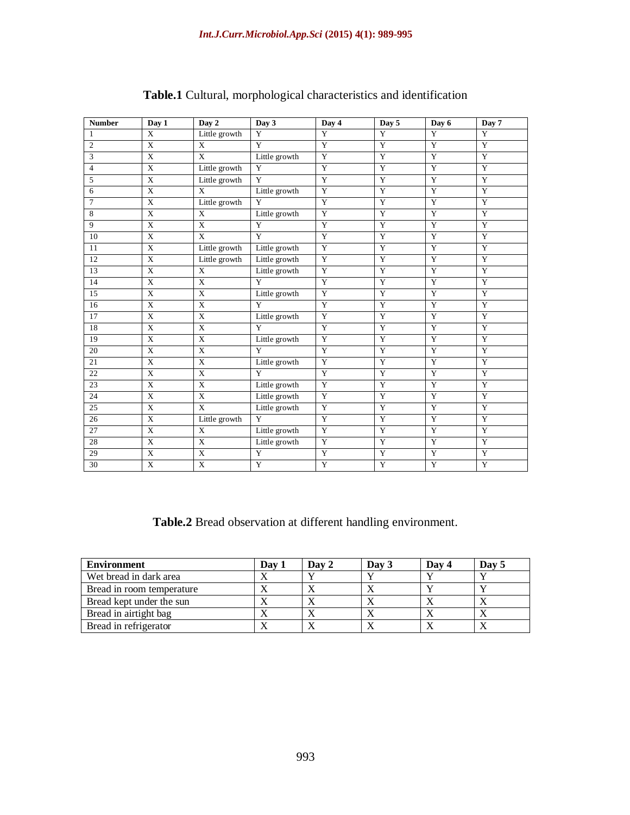| <b>Number</b>  | Day 1                   | Day 2          | Day 3          | Day 4          | Day 5                 | Day 6          | Day 7          |
|----------------|-------------------------|----------------|----------------|----------------|-----------------------|----------------|----------------|
| $\mathbf{1}$   | X                       | Little growth  | $\overline{Y}$ | Y              | $\overline{Y}$        | $\overline{Y}$ | $\overline{Y}$ |
| $\overline{2}$ | X                       | X              | Y              | Y              | Y                     | Y              | Y              |
| 3              | X                       | X              | Little growth  | Y              | Y                     | Y              | Y              |
| $\overline{4}$ | X                       | Little growth  | Y              | Y              | Y                     | $\overline{Y}$ | Y              |
| 5              | $\mathbf X$             | Little growth  | Y              | Y              | Y                     | Y              | Y              |
| 6              | $\mathbf X$             | X              | Little growth  | Y              | Y                     | $\overline{Y}$ | Y              |
| 7              | X                       | Little growth  | Y              | Y              | Y                     | Y              | Y              |
| 8              | $\overline{X}$          | $\overline{X}$ | Little growth  | $\overline{Y}$ | $\overline{Y}$        | $\overline{Y}$ | $\overline{Y}$ |
| 9              | $\overline{\mathrm{X}}$ | $\overline{X}$ | Y              | $\overline{Y}$ | $\overline{Y}$        | $\overline{Y}$ | $\overline{Y}$ |
| 10             | X                       | $\overline{X}$ | Y              | Y              | Y                     | $\overline{Y}$ | Y              |
| 11             | $\mathbf X$             | Little growth  | Little growth  | Y              | Y                     | $\overline{Y}$ | $\overline{Y}$ |
| 12             | $\mathbf X$             | Little growth  | Little growth  | Y              | Y                     | $\overline{Y}$ | $\mathbf Y$    |
| 13             | X                       | X              | Little growth  | Y              | Y                     | Y              | Y              |
| 14             | $\mathbf X$             | $\overline{X}$ | Y              | Y              | $\overline{Y}$        | $\overline{Y}$ | $\overline{Y}$ |
| 15             | X                       | $\mathbf X$    | Little growth  | Y              | Y                     | Y              | Y              |
| 16             | $\mathbf X$             | $\mathbf X$    | Y              | Y              | Y                     | $\overline{Y}$ | Y              |
| 17             | X                       | X              | Little growth  | Y              | Y                     | Y              | Y              |
| 18             | X                       | $\overline{X}$ | Y              | Y              | Y                     | $\overline{Y}$ | Y              |
| 19             | $\mathbf X$             | $\overline{X}$ | Little growth  | $\mathbf Y$    | Y                     | $\overline{Y}$ | Y              |
| 20             | X                       | X              | Y              | Y              | Y                     | Y              | Y              |
| 21             | X                       | $\overline{X}$ | Little growth  | $\overline{Y}$ | $\overline{Y}$        | $\overline{Y}$ | $\overline{Y}$ |
| 22             | $\mathbf X$             | $\mathbf X$    | Y              | Y              | Y                     | $\overline{Y}$ | $\mathbf Y$    |
| 23             | $\overline{X}$          | $\overline{X}$ | Little growth  | $\overline{Y}$ | $\overline{Y}$        | $\overline{Y}$ | $\overline{Y}$ |
| 24             | $\mathbf X$             | $\overline{X}$ | Little growth  | $\mathbf Y$    | Y                     | $\overline{Y}$ | $\mathbf Y$    |
| 25             | X                       | X              | Little growth  | Y              | Y                     | Y              | Y              |
| 26             | X                       | Little growth  | $\overline{Y}$ | $\overline{Y}$ | $\overline{\text{Y}}$ | $\overline{Y}$ | $\overline{Y}$ |
| 27             | $\mathbf X$             | $\mathbf X$    | Little growth  | Y              | Y                     | Y              | Y              |
| 28             | X                       | X              | Little growth  | Y              | Y                     | $\overline{Y}$ | Y              |
| 29             | X                       | $\overline{X}$ | Y              | $\mathbf Y$    | Y                     | $\overline{Y}$ | Y              |
| 30             | X                       | X              | Y              | Y              | Y                     | Y              | Y              |

## **Table.1** Cultural, morphological characteristics and identification

**Table.2** Bread observation at different handling environment.

| Environment               | Day 1 | Day 2 | Day 3 | Day 4 | Day 5 |
|---------------------------|-------|-------|-------|-------|-------|
| Wet bread in dark area    |       |       |       |       |       |
| Bread in room temperature |       |       |       |       |       |
| Bread kept under the sun  |       |       |       |       |       |
| Bread in airtight bag     |       |       |       |       |       |
| Bread in refrigerator     |       |       |       |       |       |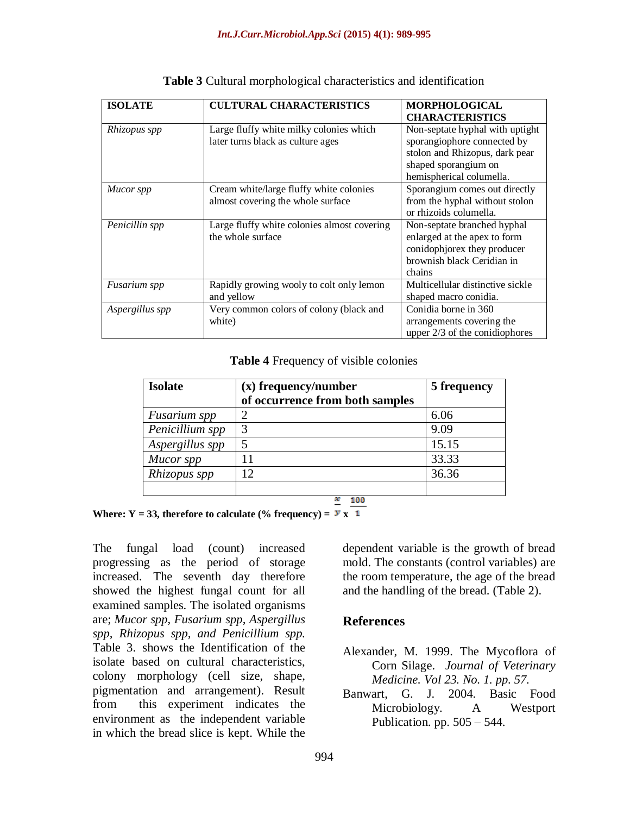| <b>ISOLATE</b>      | <b>CULTURAL CHARACTERISTICS</b>                                              | <b>MORPHOLOGICAL</b><br><b>CHARACTERISTICS</b>                                                                                                       |
|---------------------|------------------------------------------------------------------------------|------------------------------------------------------------------------------------------------------------------------------------------------------|
| Rhizopus spp        | Large fluffy white milky colonies which<br>later turns black as culture ages | Non-septate hyphal with uptight<br>sporangiophore connected by<br>stolon and Rhizopus, dark pear<br>shaped sporangium on<br>hemispherical columella. |
| Mucor spp           | Cream white/large fluffy white colonies<br>almost covering the whole surface | Sporangium comes out directly<br>from the hyphal without stolon<br>or rhizoids columella.                                                            |
| Penicillin spp      | Large fluffy white colonies almost covering<br>the whole surface             | Non-septate branched hyphal<br>enlarged at the apex to form<br>conidophiorex they producer<br>brownish black Ceridian in<br>chains                   |
| <i>Fusarium spp</i> | Rapidly growing wooly to colt only lemon<br>and yellow                       | Multicellular distinctive sickle<br>shaped macro conidia.                                                                                            |
| Aspergillus spp     | Very common colors of colony (black and<br>white)                            | Conidia borne in 360<br>arrangements covering the<br>upper $2/3$ of the conidiophores                                                                |

**Table 3** Cultural morphological characteristics and identification

**Table 4** Frequency of visible colonies

| <b>Isolate</b>  | (x) frequency/number            | 5 frequency |
|-----------------|---------------------------------|-------------|
|                 | of occurrence from both samples |             |
| Fusarium spp    |                                 | 6.06        |
| Penicillium spp |                                 | 9.09        |
| Aspergillus spp |                                 | 15.15       |
| Mucor spp       | 11                              | 33.33       |
| Rhizopus spp    | 12                              | 36.36       |
|                 |                                 |             |
|                 | 100                             |             |

Where:  $Y = 33$ , therefore to calculate (% frequency) =  $y \times 1$ 

The fungal load (count) increased progressing as the period of storage increased. The seventh day therefore showed the highest fungal count for all examined samples. The isolated organisms are; *Mucor spp, Fusarium spp, Aspergillus spp, Rhizopus spp, and Penicillium spp.* Table 3. shows the Identification of the isolate based on cultural characteristics, colony morphology (cell size, shape, pigmentation and arrangement). Result from this experiment indicates the environment as the independent variable in which the bread slice is kept. While the

dependent variable is the growth of bread mold. The constants (control variables) are the room temperature, the age of the bread and the handling of the bread. (Table 2).

## **References**

- Alexander, M. 1999. The Mycoflora of Corn Silage. *Journal of Veterinary Medicine. Vol 23. No. 1. pp. 57.*
- Banwart, G. J. 2004. Basic Food Microbiology. A Westport Publication. pp. 505 – 544.